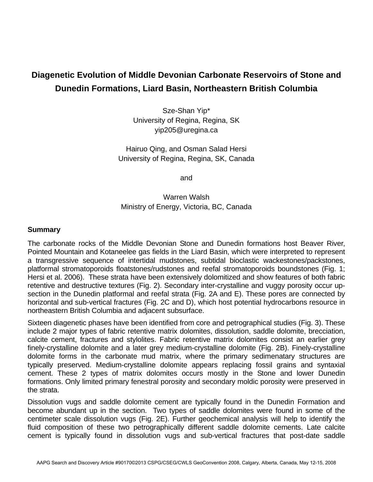## **Diagenetic Evolution of Middle Devonian Carbonate Reservoirs of Stone and Dunedin Formations, Liard Basin, Northeastern British Columbia**

Sze-Shan Yip\* University of Regina, Regina, SK yip205@uregina.ca

Hairuo Qing, and Osman Salad Hersi University of Regina, Regina, SK, Canada

and

Warren Walsh Ministry of Energy, Victoria, BC, Canada

## **Summary**

The carbonate rocks of the Middle Devonian Stone and Dunedin formations host Beaver River, Pointed Mountain and Kotaneelee gas fields in the Liard Basin, which were interpreted to represent a transgressive sequence of intertidal mudstones, subtidal bioclastic wackestones/packstones, platformal stromatoporoids floatstones/rudstones and reefal stromatoporoids boundstones (Fig. 1; Hersi et al. 2006). These strata have been extensively dolomitized and show features of both fabric retentive and destructive textures (Fig. 2). Secondary inter-crystalline and vuggy porosity occur upsection in the Dunedin platformal and reefal strata (Fig. 2A and E). These pores are connected by horizontal and sub-vertical fractures (Fig. 2C and D), which host potential hydrocarbons resource in northeastern British Columbia and adjacent subsurface.

Sixteen diagenetic phases have been identified from core and petrographical studies (Fig. 3). These include 2 major types of fabric retentive matrix dolomites, dissolution, saddle dolomite, brecciation, calcite cement, fractures and stylolites. Fabric retentive matrix dolomites consist an earlier grey finely-crystalline dolomite and a later grey medium-crystalline dolomite (Fig. 2B). Finely-crystalline dolomite forms in the carbonate mud matrix, where the primary sedimenatary structures are typically preserved. Medium-crystalline dolomite appears replacing fossil grains and syntaxial cement. These 2 types of matrix dolomites occurs mostly in the Stone and lower Dunedin formations. Only limited primary fenestral porosity and secondary moldic porosity were preserved in the strata.

Dissolution vugs and saddle dolomite cement are typically found in the Dunedin Formation and become abundant up in the section. Two types of saddle dolomites were found in some of the centimeter scale dissolution vugs (Fig. 2E). Further geochemical analysis will help to identify the fluid composition of these two petrographically different saddle dolomite cements. Late calcite cement is typically found in dissolution vugs and sub-vertical fractures that post-date saddle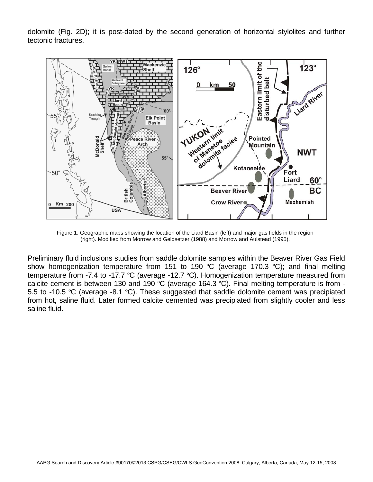dolomite (Fig. 2D); it is post-dated by the second generation of horizontal stylolites and further tectonic fractures.



Figure 1: Geographic maps showing the location of the Liard Basin (left) and major gas fields in the region (right). Modified from Morrow and Geldsetzer (1988) and Morrow and Aulstead (1995).

Preliminary fluid inclusions studies from saddle dolomite samples within the Beaver River Gas Field show homogenization temperature from 151 to 190 °C (average 170.3 °C); and final melting temperature from -7.4 to -17.7 ºC (average -12.7 ºC). Homogenization temperature measured from calcite cement is between 130 and 190 ºC (average 164.3 ºC). Final melting temperature is from - 5.5 to -10.5 °C (average -8.1 °C). These suggested that saddle dolomite cement was precipiated from hot, saline fluid. Later formed calcite cemented was precipiated from slightly cooler and less saline fluid.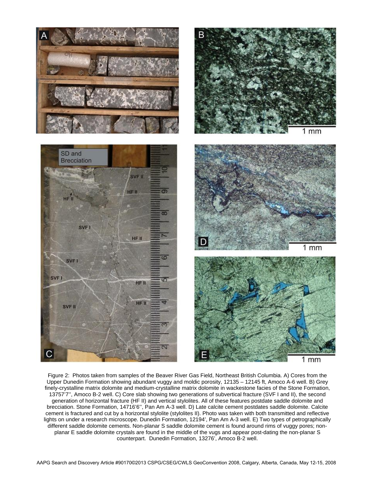

Figure 2: Photos taken from samples of the Beaver River Gas Field, Northeast British Columbia. A) Cores from the Upper Dunedin Formation showing abundant vuggy and moldic porosity, 12135 – 12145 ft, Amoco A-6 well. B) Grey finely-crystalline matrix dolomite and medium-crystalline matrix dolomite in wackestone facies of the Stone Formation, 13757'7'', Amoco B-2 well. C) Core slab showing two generations of subvertical fracture (SVF I and II), the second generation of horizontal fracture (HF II) and vertical stylolites. All of these features postdate saddle dolomite and brecciation. Stone Formation, 14716'6'', Pan Am A-3 well. D) Late calcite cement postdates saddle dolomite. Calcite cement is fractured and cut by a horizontal stylolite (stylolites II). Photo was taken with both transmitted and reflective lights on under a research microscope. Dunedin Formation, 12194', Pan Am A-3 well. E) Two types of petrographically different saddle dolomite cements. Non-planar S saddle dolomite cement is found around rims of vuggy pores; nonplanar E saddle dolomite crystals are found in the middle of the vugs and appear post-dating the non-planar S counterpart. Dunedin Formation, 13276', Amoco B-2 well.